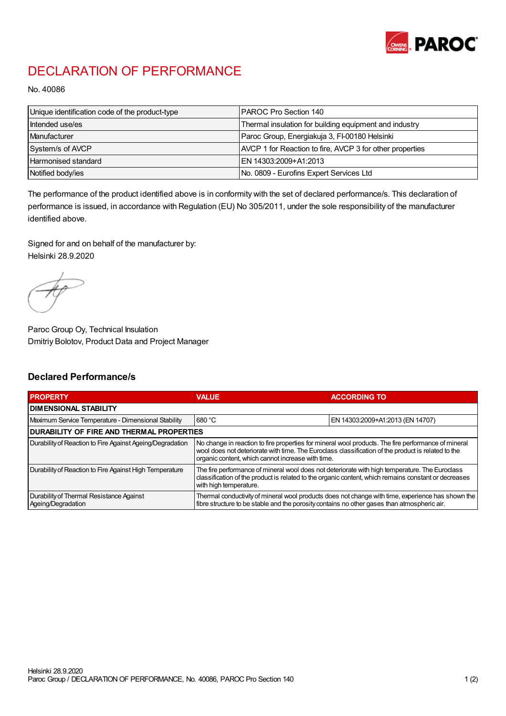

## DECLARATION OF PERFORMANCE

No. 40086

| Unique identification code of the product-type | IPAROC Pro Section 140                                   |
|------------------------------------------------|----------------------------------------------------------|
| Intended use/es                                | Thermal insulation for building equipment and industry   |
| Manufacturer                                   | Paroc Group, Energiakuja 3, FI-00180 Helsinki            |
| System/s of AVCP                               | AVCP 1 for Reaction to fire, AVCP 3 for other properties |
| Harmonised standard                            | IEN 14303:2009+A1:2013                                   |
| Notified body/ies                              | No. 0809 - Eurofins Expert Services Ltd                  |

The performance of the product identified above is in conformity with the set of declared performance/s. This declaration of performance is issued, in accordance with Regulation (EU) No 305/2011, under the sole responsibility of the manufacturer identified above.

Signed for and on behalf of the manufacturer by: Helsinki 28.9.2020

Paroc Group Oy, Technical Insulation Dmitriy Bolotov, Product Data and Project Manager

## Declared Performance/s

| <b>PROPERTY</b>                                                | <b>VALUE</b>                                                                                                                                                                                                                                                   | <b>ACCORDING TO.</b>             |  |  |
|----------------------------------------------------------------|----------------------------------------------------------------------------------------------------------------------------------------------------------------------------------------------------------------------------------------------------------------|----------------------------------|--|--|
| <b>DIMENSIONAL STABILITY</b>                                   |                                                                                                                                                                                                                                                                |                                  |  |  |
| Maximum Service Temperature - Dimensional Stability            | 680 °C                                                                                                                                                                                                                                                         | EN 14303:2009+A1:2013 (EN 14707) |  |  |
| <b>DURABILITY OF FIRE AND THERMAL PROPERTIES</b>               |                                                                                                                                                                                                                                                                |                                  |  |  |
| Durability of Reaction to Fire Against Ageing/Degradation      | No change in reaction to fire properties for mineral wool products. The fire performance of mineral<br>wool does not deteriorate with time. The Euroclass classification of the product is related to the<br>organic content, which cannot increase with time. |                                  |  |  |
| Durability of Reaction to Fire Against High Temperature        | The fire performance of mineral wool does not deteriorate with high temperature. The Euroclass<br>classification of the product is related to the organic content, which remains constant or decreases<br>with high temperature.                               |                                  |  |  |
| Durability of Thermal Resistance Against<br>Ageing/Degradation | Thermal conductivity of mineral wool products does not change with time, experience has shown the<br>fibre structure to be stable and the porosity contains no other gases than atmospheric air.                                                               |                                  |  |  |